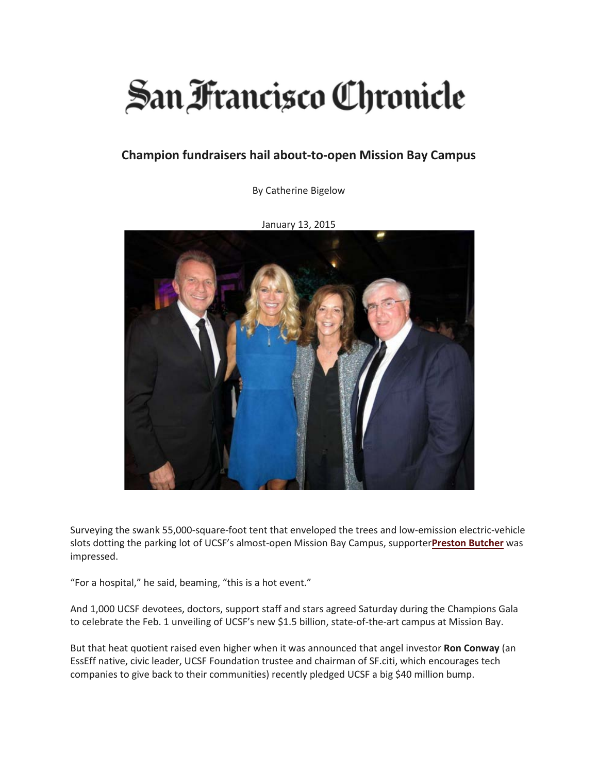## **San Francisco Chronicle**

## **Champion fundraisers hail about-to-open Mission Bay Campus**

By Catherine Bigelow



January 13, 2015

Surveying the swank 55,000-square-foot tent that enveloped the trees and low-emission electric-vehicle slots dotting the parking lot of UCSF's almost-open Mission Bay Campus, supporter**Preston [Butcher](http://www.sfgate.com/search/?action=search&channel=entertainment&inlineLink=1&searchindex=gsa&query=%22Preston+Butcher%22)** was impressed.

"For a hospital," he said, beaming, "this is a hot event."

And 1,000 UCSF devotees, doctors, support staff and stars agreed Saturday during the Champions Gala to celebrate the Feb. 1 unveiling of UCSF's new \$1.5 billion, state-of-the-art campus at Mission Bay.

But that heat quotient raised even higher when it was announced that angel investor **Ron Conway** (an EssEff native, civic leader, UCSF Foundation trustee and chairman of SF.citi, which encourages tech companies to give back to their communities) recently pledged UCSF a big \$40 million bump.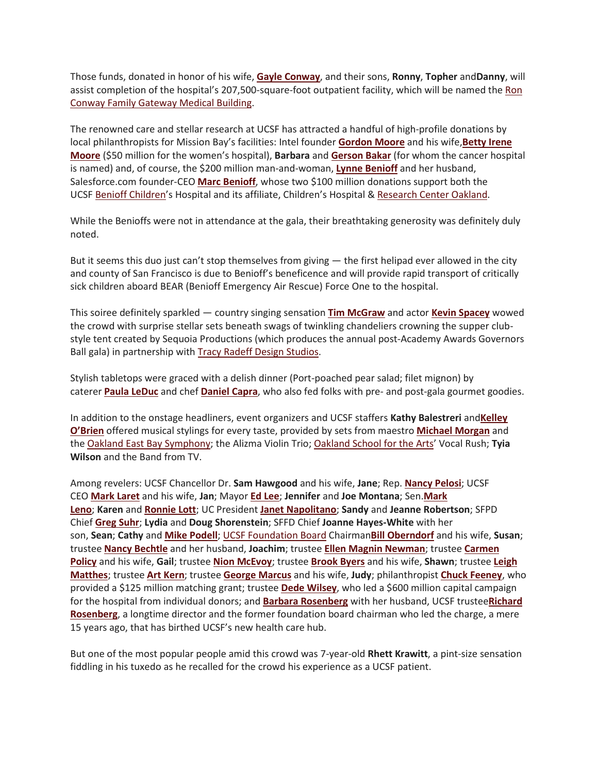Those funds, donated in honor of his wife, **Gayle [Conway](http://www.sfgate.com/search/?action=search&channel=entertainment&inlineLink=1&searchindex=gsa&query=%22Gayle+Conway%22)**, and their sons, **Ronny**, **Topher** and**Danny**, will assist completion of the hospital's 207,500-square-foot outpatient facility, which will be named the [Ron](http://www.sfgate.com/search/?action=search&channel=entertainment&inlineLink=1&searchindex=gsa&query=%22Ron+Conway+Family+Gateway+Medical+Building%22) Conway Family [Gateway](http://www.sfgate.com/search/?action=search&channel=entertainment&inlineLink=1&searchindex=gsa&query=%22Ron+Conway+Family+Gateway+Medical+Building%22) Medical Building.

The renowned care and stellar research at UCSF has attracted a handful of high-profile donations by local philanthropists for Mission Bay's facilities: Intel founder **[Gordon](http://www.sfgate.com/search/?action=search&channel=entertainment&inlineLink=1&searchindex=gsa&query=%22Gordon+Moore%22) Moore** and his wife,**[Betty](http://www.sfgate.com/search/?action=search&channel=entertainment&inlineLink=1&searchindex=gsa&query=%22Betty+Irene+Moore%22) Irene [Moore](http://www.sfgate.com/search/?action=search&channel=entertainment&inlineLink=1&searchindex=gsa&query=%22Betty+Irene+Moore%22)** (\$50 million for the women's hospital), **Barbara** and **[Gerson](http://www.sfgate.com/search/?action=search&channel=entertainment&inlineLink=1&searchindex=gsa&query=%22Gerson+Bakar%22) Bakar** (for whom the cancer hospital is named) and, of course, the \$200 million man-and-woman, **Lynne [Benioff](http://www.sfgate.com/search/?action=search&channel=entertainment&inlineLink=1&searchindex=gsa&query=%22Lynne+Benioff%22)** and her husband, Salesforce.com founder-CEO **Marc [Benioff](http://www.sfgate.com/search/?action=search&channel=entertainment&inlineLink=1&searchindex=gsa&query=%22Marc+Benioff%22)**, whose two \$100 million donations support both the UCSF Benioff [Children'](http://www.sfgate.com/search/?action=search&channel=entertainment&inlineLink=1&searchindex=gsa&query=%22Benioff+Children%22)s Hospital and its affiliate, Children's Hospital & [Research](http://www.sfgate.com/search/?action=search&channel=entertainment&inlineLink=1&searchindex=gsa&query=%22Research+Center+Oakland%22) Center Oakland.

While the Benioffs were not in attendance at the gala, their breathtaking generosity was definitely duly noted.

But it seems this duo just can't stop themselves from giving — the first helipad ever allowed in the city and county of San Francisco is due to Benioff's beneficence and will provide rapid transport of critically sick children aboard BEAR (Benioff Emergency Air Rescue) Force One to the hospital.

This soiree definitely sparkled — country singing sensation **Tim [McGraw](http://www.sfgate.com/search/?action=search&channel=entertainment&inlineLink=1&searchindex=gsa&query=%22Tim+McGraw%22)** and actor **Kevin [Spacey](http://www.sfgate.com/search/?action=search&channel=entertainment&inlineLink=1&searchindex=gsa&query=%22Kevin+Spacey%22)** wowed the crowd with surprise stellar sets beneath swags of twinkling chandeliers crowning the supper clubstyle tent created by Sequoia Productions (which produces the annual post-Academy Awards Governors Ball gala) in partnership with Tracy Radeff Design [Studios.](http://www.sfgate.com/search/?action=search&channel=entertainment&inlineLink=1&searchindex=gsa&query=%22Tracy+Radeff+Design+Studios%22)

Stylish tabletops were graced with a delish dinner (Port-poached pear salad; filet mignon) by caterer **Paula [LeDuc](http://www.sfgate.com/search/?action=search&channel=entertainment&inlineLink=1&searchindex=gsa&query=%22Paula+LeDuc%22)** and chef **[Daniel](http://www.sfgate.com/search/?action=search&channel=entertainment&inlineLink=1&searchindex=gsa&query=%22Daniel+Capra%22) Capra**, who also fed folks with pre- and post-gala gourmet goodies.

In addition to the onstage headliners, event organizers and UCSF staffers **Kathy Balestreri** and**[Kelley](http://www.sfgate.com/search/?action=search&channel=entertainment&inlineLink=1&searchindex=gsa&query=%22Kelley+O%E2%80%99Brien%22) [O'Brien](http://www.sfgate.com/search/?action=search&channel=entertainment&inlineLink=1&searchindex=gsa&query=%22Kelley+O%E2%80%99Brien%22)** offered musical stylings for every taste, provided by sets from maestro **[Michael](http://www.sfgate.com/search/?action=search&channel=entertainment&inlineLink=1&searchindex=gsa&query=%22Michael+Morgan%22) Morgan** and the Oakland East Bay [Symphony;](http://www.sfgate.com/search/?action=search&channel=entertainment&inlineLink=1&searchindex=gsa&query=%22Oakland+East+Bay+Symphony%22) the Alizma Violin Trio; [Oakland](http://www.sfgate.com/search/?action=search&channel=entertainment&inlineLink=1&searchindex=gsa&query=%22Oakland+School+for+the+Arts%22) School for the Arts' Vocal Rush; **Tyia Wilson** and the Band from TV.

Among revelers: UCSF Chancellor Dr. **Sam Hawgood** and his wife, **Jane**; Rep. **[Nancy](http://www.sfgate.com/search/?action=search&channel=entertainment&inlineLink=1&searchindex=gsa&query=%22Nancy+Pelosi%22) Pelosi**; UCSF CEO **[Mark](http://www.sfgate.com/search/?action=search&channel=entertainment&inlineLink=1&searchindex=gsa&query=%22Mark+Laret%22) Laret** and his wife, **Jan**; Mayor **Ed [Lee](http://www.sfgate.com/search/?action=search&channel=entertainment&inlineLink=1&searchindex=gsa&query=%22Ed+Lee%22)**; **Jennifer** and **Joe Montana**; Sen.**[Mark](http://www.sfgate.com/search/?action=search&channel=entertainment&inlineLink=1&searchindex=gsa&query=%22Mark+Leno%22) [Leno](http://www.sfgate.com/search/?action=search&channel=entertainment&inlineLink=1&searchindex=gsa&query=%22Mark+Leno%22)**; **Karen** and **[Ronnie](http://www.sfgate.com/search/?action=search&channel=entertainment&inlineLink=1&searchindex=gsa&query=%22Ronnie+Lott%22) Lott**; UC President **Janet [Napolitano](http://www.sfgate.com/search/?action=search&channel=entertainment&inlineLink=1&searchindex=gsa&query=%22Janet+Napolitano%22)**; **Sandy** and **Jeanne Robertson**; SFPD Chief **[Greg](http://www.sfgate.com/search/?action=search&channel=entertainment&inlineLink=1&searchindex=gsa&query=%22Greg+Suhr%22) Suhr**; **Lydia** and **Doug Shorenstein**; SFFD Chief **Joanne Hayes-White** with her son, **Sean**; **Cathy** and **Mike [Podell](http://www.sfgate.com/search/?action=search&channel=entertainment&inlineLink=1&searchindex=gsa&query=%22Mike+Podell%22)**; UCSF [Foundation](http://www.sfgate.com/search/?action=search&channel=entertainment&inlineLink=1&searchindex=gsa&query=%22UCSF+Foundation+Board%22) Board Chairman**Bill [Oberndorf](http://www.sfgate.com/search/?action=search&channel=entertainment&inlineLink=1&searchindex=gsa&query=%22Bill+Oberndorf%22)** and his wife, **Susan**; trustee **Nancy [Bechtle](http://www.sfgate.com/search/?action=search&channel=entertainment&inlineLink=1&searchindex=gsa&query=%22Nancy+Bechtle%22)** and her husband, **Joachim**; trustee **Ellen Magnin [Newman](http://www.sfgate.com/search/?action=search&channel=entertainment&inlineLink=1&searchindex=gsa&query=%22Ellen+Magnin+Newman%22)**; trustee **[Carmen](http://www.sfgate.com/search/?action=search&channel=entertainment&inlineLink=1&searchindex=gsa&query=%22Carmen+Policy%22) [Policy](http://www.sfgate.com/search/?action=search&channel=entertainment&inlineLink=1&searchindex=gsa&query=%22Carmen+Policy%22)** and his wife, **Gail**; trustee **Nion [McEvoy](http://www.sfgate.com/search/?action=search&channel=entertainment&inlineLink=1&searchindex=gsa&query=%22Nion+McEvoy%22)**; trustee **[Brook](http://www.sfgate.com/search/?action=search&channel=entertainment&inlineLink=1&searchindex=gsa&query=%22Brook+Byers%22) Byers** and his wife, **Shawn**; trustee **[Leigh](http://www.sfgate.com/search/?action=search&channel=entertainment&inlineLink=1&searchindex=gsa&query=%22Leigh+Matthes%22) [Matthes](http://www.sfgate.com/search/?action=search&channel=entertainment&inlineLink=1&searchindex=gsa&query=%22Leigh+Matthes%22)**; trustee **Art [Kern](http://www.sfgate.com/search/?action=search&channel=entertainment&inlineLink=1&searchindex=gsa&query=%22Art+Kern%22)**; trustee **George [Marcus](http://www.sfgate.com/search/?action=search&channel=entertainment&inlineLink=1&searchindex=gsa&query=%22George+Marcus%22)** and his wife, **Judy**; philanthropist **Chuck [Feeney](http://www.sfgate.com/search/?action=search&channel=entertainment&inlineLink=1&searchindex=gsa&query=%22Chuck+Feeney%22)**, who provided a \$125 million matching grant; trustee **Dede [Wilsey](http://www.sfgate.com/search/?action=search&channel=entertainment&inlineLink=1&searchindex=gsa&query=%22Dede+Wilsey%22)**, who led a \$600 million capital campaign for the hospital from individual donors; and **Barbara [Rosenberg](http://www.sfgate.com/search/?action=search&channel=entertainment&inlineLink=1&searchindex=gsa&query=%22Barbara+Rosenberg%22)** with her husband, UCSF trustee**[Richard](http://www.sfgate.com/search/?action=search&channel=entertainment&inlineLink=1&searchindex=gsa&query=%22Richard+Rosenberg%22) [Rosenberg](http://www.sfgate.com/search/?action=search&channel=entertainment&inlineLink=1&searchindex=gsa&query=%22Richard+Rosenberg%22)**, a longtime director and the former foundation board chairman who led the charge, a mere 15 years ago, that has birthed UCSF's new health care hub.

But one of the most popular people amid this crowd was 7-year-old **Rhett Krawitt**, a pint-size sensation fiddling in his tuxedo as he recalled for the crowd his experience as a UCSF patient.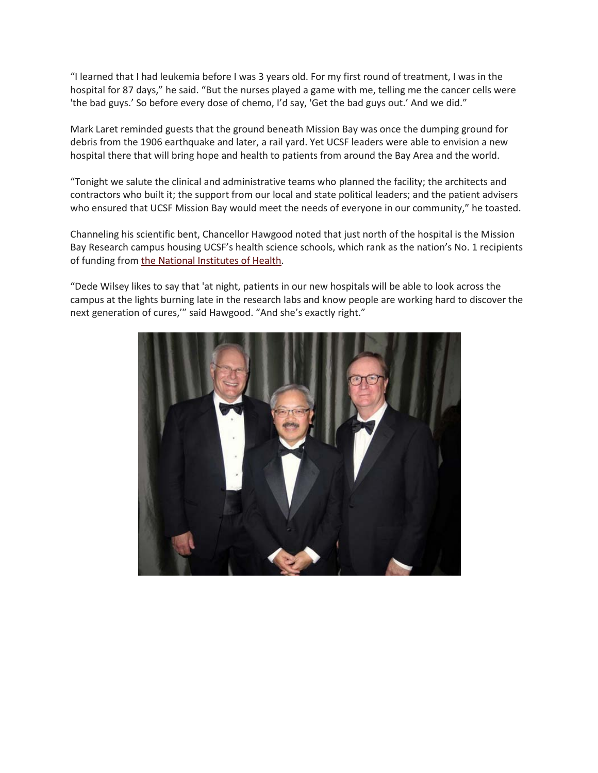"I learned that I had leukemia before I was 3 years old. For my first round of treatment, I was in the hospital for 87 days," he said. "But the nurses played a game with me, telling me the cancer cells were 'the bad guys.' So before every dose of chemo, I'd say, 'Get the bad guys out.' And we did."

Mark Laret reminded guests that the ground beneath Mission Bay was once the dumping ground for debris from the 1906 earthquake and later, a rail yard. Yet UCSF leaders were able to envision a new hospital there that will bring hope and health to patients from around the Bay Area and the world.

"Tonight we salute the clinical and administrative teams who planned the facility; the architects and contractors who built it; the support from our local and state political leaders; and the patient advisers who ensured that UCSF Mission Bay would meet the needs of everyone in our community," he toasted.

Channeling his scientific bent, Chancellor Hawgood noted that just north of the hospital is the Mission Bay Research campus housing UCSF's health science schools, which rank as the nation's No. 1 recipients of funding from the National [Institutes](http://www.sfgate.com/search/?action=search&channel=entertainment&inlineLink=1&searchindex=gsa&query=%22The+National+Institutes+of+Health%22) of Health.

"Dede Wilsey likes to say that 'at night, patients in our new hospitals will be able to look across the campus at the lights burning late in the research labs and know people are working hard to discover the next generation of cures,'" said Hawgood. "And she's exactly right."

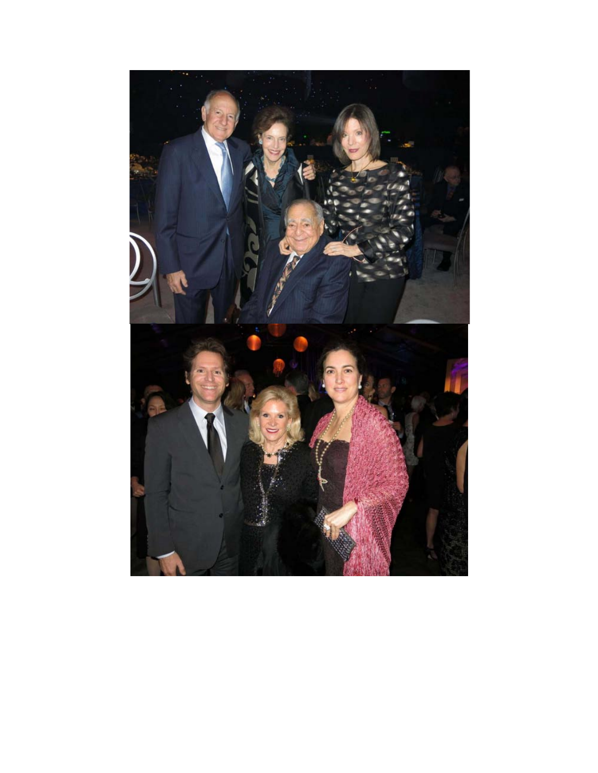